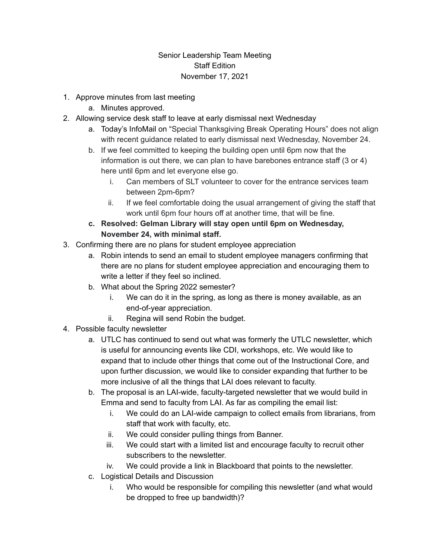## Senior Leadership Team Meeting Staff Edition November 17, 2021

- 1. Approve minutes from last meeting
	- a. Minutes approved.
- 2. Allowing service desk staff to leave at early dismissal next Wednesday
	- a. Today's InfoMail on "Special Thanksgiving Break Operating Hours" does not align with recent guidance related to early dismissal next Wednesday, November 24.
	- b. If we feel committed to keeping the building open until 6pm now that the information is out there, we can plan to have barebones entrance staff (3 or 4) here until 6pm and let everyone else go.
		- i. Can members of SLT volunteer to cover for the entrance services team between 2pm-6pm?
		- ii. If we feel comfortable doing the usual arrangement of giving the staff that work until 6pm four hours off at another time, that will be fine.
	- **c. Resolved: Gelman Library will stay open until 6pm on Wednesday, November 24, with minimal staff.**
- 3. Confirming there are no plans for student employee appreciation
	- a. Robin intends to send an email to student employee managers confirming that there are no plans for student employee appreciation and encouraging them to write a letter if they feel so inclined.
	- b. What about the Spring 2022 semester?
		- i. We can do it in the spring, as long as there is money available, as an end-of-year appreciation.
		- ii. Regina will send Robin the budget.
- 4. Possible faculty newsletter
	- a. UTLC has continued to send out what was formerly the UTLC newsletter, which is useful for announcing events like CDI, workshops, etc. We would like to expand that to include other things that come out of the Instructional Core, and upon further discussion, we would like to consider expanding that further to be more inclusive of all the things that LAI does relevant to faculty.
	- b. The proposal is an LAI-wide, faculty-targeted newsletter that we would build in Emma and send to faculty from LAI. As far as compiling the email list:
		- i. We could do an LAI-wide campaign to collect emails from librarians, from staff that work with faculty, etc.
		- ii. We could consider pulling things from Banner.
		- iii. We could start with a limited list and encourage faculty to recruit other subscribers to the newsletter.
		- iv. We could provide a link in Blackboard that points to the newsletter.
	- c. Logistical Details and Discussion
		- i. Who would be responsible for compiling this newsletter (and what would be dropped to free up bandwidth)?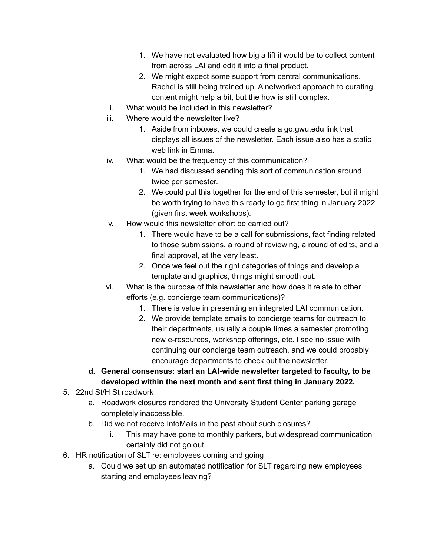- 1. We have not evaluated how big a lift it would be to collect content from across LAI and edit it into a final product.
- 2. We might expect some support from central communications. Rachel is still being trained up. A networked approach to curating content might help a bit, but the how is still complex.
- ii. What would be included in this newsletter?
- iii. Where would the newsletter live?
	- 1. Aside from inboxes, we could create a go.gwu.edu link that displays all issues of the newsletter. Each issue also has a static web link in Emma.
- iv. What would be the frequency of this communication?
	- 1. We had discussed sending this sort of communication around twice per semester.
	- 2. We could put this together for the end of this semester, but it might be worth trying to have this ready to go first thing in January 2022 (given first week workshops).
- v. How would this newsletter effort be carried out?
	- 1. There would have to be a call for submissions, fact finding related to those submissions, a round of reviewing, a round of edits, and a final approval, at the very least.
	- 2. Once we feel out the right categories of things and develop a template and graphics, things might smooth out.
- vi. What is the purpose of this newsletter and how does it relate to other efforts (e.g. concierge team communications)?
	- 1. There is value in presenting an integrated LAI communication.
	- 2. We provide template emails to concierge teams for outreach to their departments, usually a couple times a semester promoting new e-resources, workshop offerings, etc. I see no issue with continuing our concierge team outreach, and we could probably encourage departments to check out the newsletter.
- **d. General consensus: start an LAI-wide newsletter targeted to faculty, to be developed within the next month and sent first thing in January 2022.**
- 5. 22nd St/H St roadwork
	- a. Roadwork closures rendered the University Student Center parking garage completely inaccessible.
	- b. Did we not receive InfoMails in the past about such closures?
		- i. This may have gone to monthly parkers, but widespread communication certainly did not go out.
- 6. HR notification of SLT re: employees coming and going
	- a. Could we set up an automated notification for SLT regarding new employees starting and employees leaving?